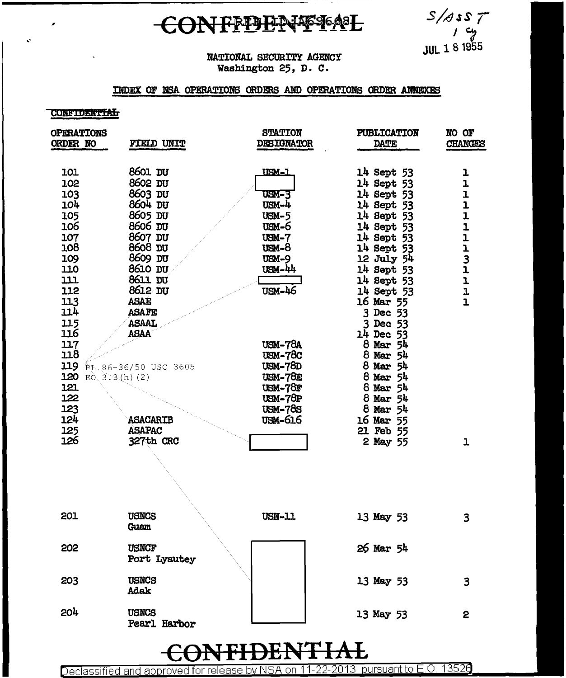### CONFFDENTFAL

 $S/\sqrt{3}S$ T cy<br>p **JUL 1 8 1955** 

#### NATIONAL SECURITY AGENCY Washington 25, D. C.

### INDEX OF NSA OPERATIONS ORDERS AND OPERATIONS ORDER ANNEXES

#### **CONFIDENTIAL**

| <b>OPERATIONS</b><br>ORDER NO                                                                                                                                            | FIELD UNIT                                                                                                                                                                                                             | <b>STATION</b><br><b>DESIGNATOR</b>                                                                                                                                                                      | <b>PUBLICATION</b><br><b>DATE</b>                                                                                                                                                                                                                                                                          | NO OF<br><b>CHANGES</b>                  |  |
|--------------------------------------------------------------------------------------------------------------------------------------------------------------------------|------------------------------------------------------------------------------------------------------------------------------------------------------------------------------------------------------------------------|----------------------------------------------------------------------------------------------------------------------------------------------------------------------------------------------------------|------------------------------------------------------------------------------------------------------------------------------------------------------------------------------------------------------------------------------------------------------------------------------------------------------------|------------------------------------------|--|
| 101<br>102<br>103<br>104<br>105<br>106<br>107<br>108<br>109<br>110<br>111<br>112<br>113<br>114<br>115<br>116<br>117<br>118<br>119<br>120 $E_0$ , 3.3(h)(2)<br>121<br>122 | 8601 DU<br>8602 DU<br>8603 DU<br>8604 DU<br>8605 DU<br>8606 DU<br>8607 DU<br>8608 DU<br>8609 DU<br>8610 DU<br>8611 DU<br>8612 DU<br><b>ASAE</b><br><b>ASAFE</b><br><b>ASAAL</b><br><b>ASAA</b><br>PL 86-36/50 USC 3605 | <u>USM-1</u><br><b>USM-3</b><br>USM-4<br>$USM-5$<br>$USM-6$<br>$USM-7$<br>$8-$ Mgu<br><b>USM-9</b><br>$USM - 44$<br>USM-46<br>$USM-78A$<br>$USM-78C$<br>$USM - 78D$<br>USM-78E<br>$USM-78F$<br>$USM-78P$ | 14 Sept 53<br>14 Sept 53<br>14 Sept 53<br>14 Sept 53<br>14 Sept 53<br>14 Sept 53<br>14 Sept 53<br>14 Sept 53<br>12 July 54<br>14 Sept 53<br>14 Sept 53<br>14 Sept 53<br>16 Mar 55<br>3 Dec 53<br>3 Dec 53<br>14 Dec 53<br>$8$ Mar $54$<br>8 Mar 54<br>8 Mar 54<br>8 Mar 54<br>$8$ Mar $54$<br>$8$ Mar $54$ | ı<br>1<br>ı<br>$\mathbf{I}$<br>111131111 |  |
| 123<br>124<br>125<br>126                                                                                                                                                 | <b>ASACARIB</b><br><b>ASAPAC</b><br>327th CRC                                                                                                                                                                          | <b>USM-78S</b><br>USM-616                                                                                                                                                                                | $8$ Mar $54$<br>16 Mar 55<br>21 Feb 55<br>2 May 55                                                                                                                                                                                                                                                         | ı                                        |  |
|                                                                                                                                                                          |                                                                                                                                                                                                                        |                                                                                                                                                                                                          |                                                                                                                                                                                                                                                                                                            |                                          |  |
| 201                                                                                                                                                                      | <b>USNCS</b><br>Guam                                                                                                                                                                                                   | <b>USN-11</b>                                                                                                                                                                                            | 13 May 53                                                                                                                                                                                                                                                                                                  | 3                                        |  |
| 202                                                                                                                                                                      | <b>USNCF</b><br>Port Lyautey                                                                                                                                                                                           |                                                                                                                                                                                                          | 26 Mar 54                                                                                                                                                                                                                                                                                                  |                                          |  |
| 203                                                                                                                                                                      | <b>USNCS</b><br>Adak                                                                                                                                                                                                   |                                                                                                                                                                                                          | 13 May 53                                                                                                                                                                                                                                                                                                  | 3                                        |  |
| 204                                                                                                                                                                      | <b>USNCS</b><br>Pearl Harbor                                                                                                                                                                                           |                                                                                                                                                                                                          | 13 May 53                                                                                                                                                                                                                                                                                                  | 2                                        |  |

#### <del>JTIA</del> **DEA** Ł

Declassified and approved for release by NSA on 11-22-2013 pursuant to E.O. 13526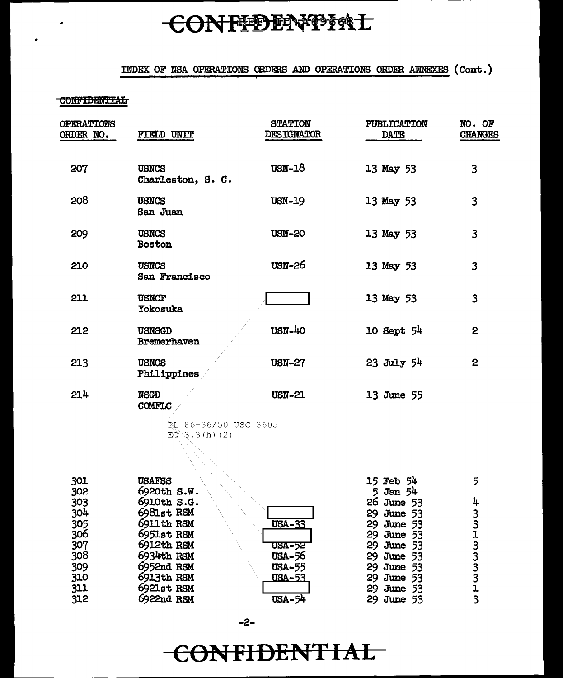# CONFIDENTING

### INDEX OF NSA OPERATIONS ORDERS AND OPERATIONS ORDER ANNEXES (Cont.)

#### CONFIDENTIAL

| <b>OPERATIONS</b><br>ORDER NO. | FIELD UNIT                        | <b>STATION</b><br><b>DESIGNATOR</b> | PUBLICATION<br>DATE | NO. OF<br><b>CHANGES</b> |
|--------------------------------|-----------------------------------|-------------------------------------|---------------------|--------------------------|
| 207                            | <b>USNCS</b><br>Charleston, S. C. | $USN-18$                            | 13 May 53           | 3                        |
| 208                            | <b>USNCS</b><br>San Juan          | <b>USN-19</b>                       | 13 May 53           | 3                        |
| 209                            | <b>USNCS</b><br>Boston            | <b>USN-20</b>                       | 13 May 53           | 3                        |
| 210                            | <b>USNCS</b><br>San Francisco     | <b>USN-26</b>                       | 13 May 53           | 3                        |
| 211                            | <b>USNCF</b><br>Yokosuka          |                                     | 13 May 53           | 3                        |
| 212                            | <b>USNSGD</b><br>Bremerhaven      | USN-40                              | 10 Sept 54          | $\overline{2}$           |
| 213                            | USNCS<br>Philippines              | <b>USN-27</b>                       | 23 July 54          | $\mathbf{2}$             |
| 21 <sup>h</sup>                | NSGD<br>COMFLC                    | <b>USN-21</b>                       | 13 June 55          |                          |

PL 86-36/50 USC 3605  $E0$  3.3 (h) (2)

| 301 | <b>USAFSS</b> |               | 15 Feb 54    | 5. |
|-----|---------------|---------------|--------------|----|
| 302 | 6920th S.W.   |               | $5$ Jan $54$ |    |
| 303 | 6910th S.G.   |               | 26 June 53   | 4  |
| 304 | 6981st RSM    |               | 29 June 53   |    |
| 305 | 6911th RSM    | <b>USA-33</b> | 29 June 53   |    |
| 306 | 6951st RSM    |               | 29 June 53   |    |
| 307 | 6912th RSM    | <b>USA-52</b> | 29 June 53   |    |
| 308 | 6934th RSM    | USA-56        | 29 June 53   |    |
| 309 | 6952nd RSM    | <b>USA-55</b> | 29 June 53   |    |
| 310 | 6913th RSM    | <u>USA-53</u> | 29 June 53   |    |
| 311 | 6921st RSM    |               | 29 June 53   |    |
| 312 | 6922nd RSM    | USA-54        | 29 June 53   |    |

 $-2-$ 

## CONFIDENTIAL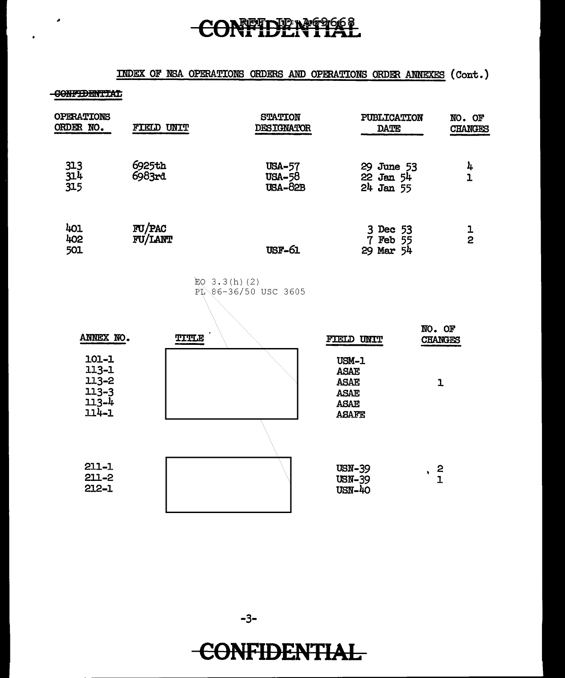# CONFIDENTIAL

### INDEX OF NSA OPERATIONS ORDERS AND OPERATIONS ORDER ANNEXES (Cont.)

#### -GONFIDENTIAL

 $\epsilon$ 

| FIELD UNIT        | <b>STATION</b><br><b>DESIGNATOR</b>              | <b>DATE</b>                                                                       | NO. OF<br><b>CHANGES</b>                                                                                            |
|-------------------|--------------------------------------------------|-----------------------------------------------------------------------------------|---------------------------------------------------------------------------------------------------------------------|
| 6925th<br>6983rd  | <b>USA-57</b><br><b>USA-58</b><br><b>USA-82B</b> |                                                                                   | 4<br>$\overline{1}$                                                                                                 |
| FU/PAC<br>FU/LANT | <b>USF-61</b>                                    |                                                                                   | $\frac{1}{2}$                                                                                                       |
|                   |                                                  |                                                                                   |                                                                                                                     |
| <b>TITLE</b>      |                                                  |                                                                                   | NO. OF<br><b>CHANGES</b>                                                                                            |
|                   |                                                  | USM-1<br><b>ASAE</b><br><b>ASAE</b><br><b>ASAE</b><br><b>ASAE</b><br><b>ASAFE</b> | $\overline{1}$                                                                                                      |
|                   |                                                  | <b>USN-39</b><br><b>USN-39</b><br><b>USN-40</b>                                   | $\frac{2}{1}$                                                                                                       |
|                   |                                                  | EQ $3.3(h)(2)$<br>PL 86-36/50 USC 3605                                            | <b>PUBLICATION</b><br>29 June 53<br>$22$ Jan $54$<br>$24$ Jan 55<br>3 Dec 53<br>7 Feb 55<br>29 Mar 54<br>FIELD UNIT |

**CONFIDENTIAL**